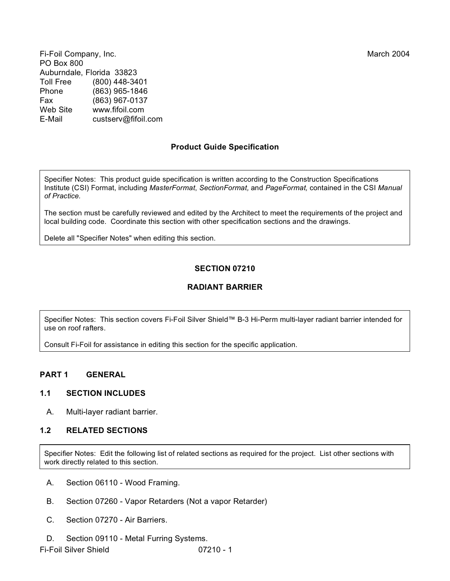Fi-Foil Company, Inc. March 2004 PO Box 800 Auburndale, Florida 33823 Toll Free (800) 448-3401 Phone (863) 965-1846 Fax (863) 967-0137 www.fifoil.com E-Mail custserv@fifoil.com

# **Product Guide Specification**

Specifier Notes: This product guide specification is written according to the Construction Specifications Institute (CSI) Format, including *MasterFormat*, *SectionFormat,* and *PageFormat,* contained in the CSI *Manual*

The section must be carefully reviewed and edited by the Architect to meet the requirements of the project and local building code. Coordinate this section with other specification sections and the drawings.

Delete all "Specifier Notes" when editing this section.

# **SECTION 07210**

# **RADIANT BARRIER**

Specifier Notes: This section covers Fi-Foil Silver Shield™ B-3 Hi-Perm multi-layer radiant barrier intended for use on roof rafters.

Consult Fi-Foil for assistance in editing this section for the specific application.

# **PART 1 GENERAL**

## **1.1 SECTION INCLUDES**

A. Multi-layer radiant barrier.

## **1.2 RELATED SECTIONS**

Specifier Notes: Edit the following list of related sections as required for the project. List other sections with work directly related to this section.

- A. Section 06110 Wood Framing.
- B. Section 07260 Vapor Retarders (Not a vapor Retarder)
- C. Section 07270 Air Barriers.
- D. Section 09110 Metal Furring Systems.

Fi-Foil Silver Shield 07210 - 1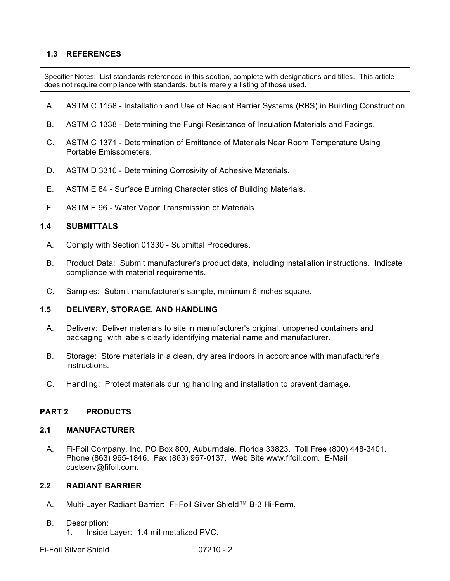## **1.3 REFERENCES**

Specifier Notes: List standards referenced in this section, complete with designations and titles. This article does not require compliance with standards, but is merely a listing of those used.

- A. ASTM C 1158 Installation and Use of Radiant Barrier Systems (RBS) in Building Construction.
- B. ASTM C 1338 Determining the Fungi Resistance of Insulation Materials and Facings.
- C. ASTM C 1371 Determination of Emittance of Materials Near Room Temperature Using Portable Emissometers.
- D. ASTM D 3310 Determining Corrosivity of Adhesive Materials.
- E. ASTM E 84 Surface Burning Characteristics of Building Materials.
- F. ASTM E 96 Water Vapor Transmission of Materials.

### **1.4 SUBMITTALS**

- A. Comply with Section 01330 Submittal Procedures.
- B. Product Data: Submit manufacturer's product data, including installation instructions. Indicate compliance with material requirements.
- C. Samples: Submit manufacturer's sample, minimum 6 inches square.

### **1.5 DELIVERY, STORAGE, AND HANDLING**

- A. Delivery: Deliver materials to site in manufacturer's original, unopened containers and packaging, with labels clearly identifying material name and manufacturer.
- B. Storage: Store materials in a clean, dry area indoors in accordance with manufacturer's instructions.
- C. Handling: Protect materials during handling and installation to prevent damage.

## **PART 2 PRODUCTS**

#### **2.1 MANUFACTURER**

A. Fi-Foil Company, Inc. PO Box 800, Auburndale, Florida 33823. Toll Free (800) 448-3401. Phone (863) 965-1846. Fax (863) 967-0137. Web Site www.fifoil.com. E-Mail custserv@fifoil.com.

## **2.2 RADIANT BARRIER**

A. Multi-Layer Radiant Barrier: Fi-Foil Silver Shield™ B-3 Hi-Perm.

### B. Description:

1. Inside Layer: 1.4 mil metalized PVC.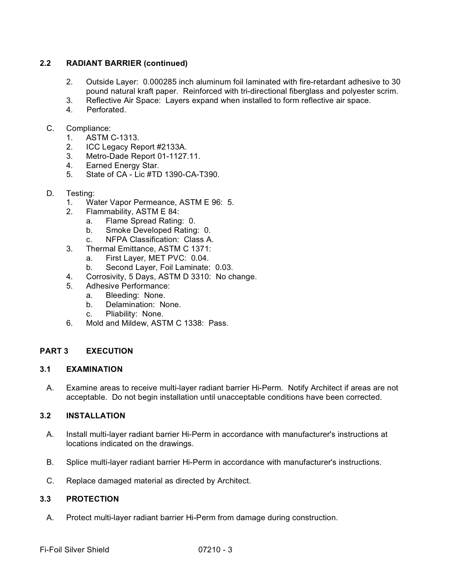## **2.2 RADIANT BARRIER (continued)**

- 2. Outside Layer: 0.000285 inch aluminum foil laminated with fire-retardant adhesive to 30 pound natural kraft paper. Reinforced with tri-directional fiberglass and polyester scrim.
- 3. Reflective Air Space: Layers expand when installed to form reflective air space.
- **Perforated**
- C. Compliance:
	- 1. ASTM C-1313.
	- 2. ICC Legacy Report #2133A.
	- 3. Metro-Dade Report 01-1127.11.
	- 4. Earned Energy Star.<br>5. State of CA Lic #TD
	- 5. State of CA Lic #TD 1390-CA-T390.
- D. Testing:
	- 1. Water Vapor Permeance, ASTM E 96: 5.
	- 2. Flammability, ASTM E 84:
		- a. Flame Spread Rating: 0.
		- b. Smoke Developed Rating: 0.
		- c. NFPA Classification: Class A.
	- 3. Thermal Emittance, ASTM C 1371:
		- a. First Layer, MET PVC: 0.04.
		- b. Second Layer, Foil Laminate: 0.03.
	- 4. Corrosivity, 5 Days, ASTM D 3310: No change.
	- 5. Adhesive Performance:
		- a. Bleeding: None.
		- b. Delamination: None.
		- c. Pliability: None.
	- 6. Mold and Mildew, ASTM C 1338: Pass.

## **PART 3 EXECUTION**

### **3.1 EXAMINATION**

A. Examine areas to receive multi-layer radiant barrier Hi-Perm. Notify Architect if areas are not acceptable. Do not begin installation until unacceptable conditions have been corrected.

## **3.2 INSTALLATION**

- A. Install multi-layer radiant barrier Hi-Perm in accordance with manufacturer's instructions at locations indicated on the drawings.
- B. Splice multi-layer radiant barrier Hi-Perm in accordance with manufacturer's instructions.
- C. Replace damaged material as directed by Architect.

### **3.3 PROTECTION**

A. Protect multi-layer radiant barrier Hi-Perm from damage during construction.